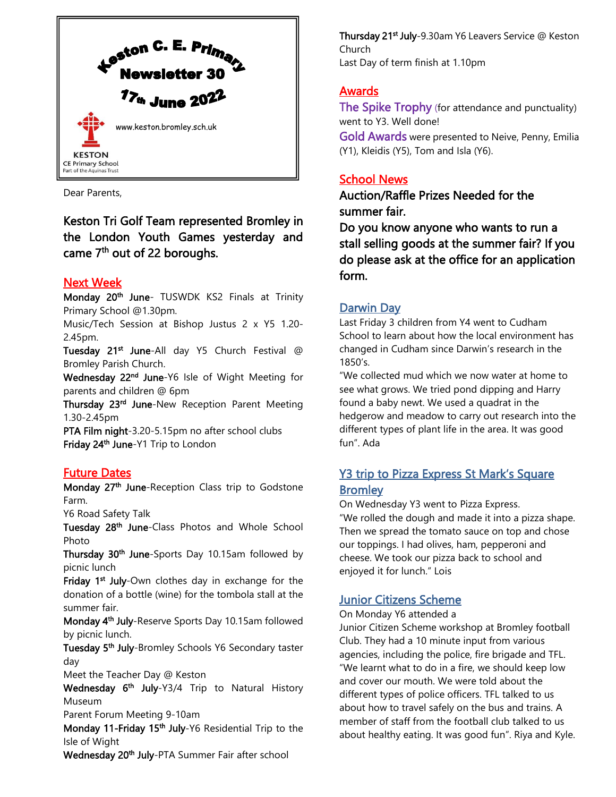

Dear Parents,

Keston Tri Golf Team represented Bromley in the London Youth Games yesterday and came 7<sup>th</sup> out of 22 boroughs.

### Next Week

Monday 20<sup>th</sup> June- TUSWDK KS2 Finals at Trinity Primary School @1.30pm.

Music/Tech Session at Bishop Justus 2 x Y5 1.20- 2.45pm.

Tuesday 21<sup>st</sup> June-All day Y5 Church Festival @ Bromley Parish Church.

Wednesday 22<sup>nd</sup> June-Y6 Isle of Wight Meeting for parents and children @ 6pm

Thursday 23<sup>rd</sup> June-New Reception Parent Meeting 1.30-2.45pm

PTA Film night-3.20-5.15pm no after school clubs Friday 24<sup>th</sup> June-Y1 Trip to London

### Future Dates

Monday 27<sup>th</sup> June-Reception Class trip to Godstone Farm.

Y6 Road Safety Talk

Tuesday 28<sup>th</sup> June-Class Photos and Whole School Photo

Thursday 30<sup>th</sup> June-Sports Day 10.15am followed by picnic lunch

Friday 1<sup>st</sup> July-Own clothes day in exchange for the donation of a bottle (wine) for the tombola stall at the summer fair.

Monday 4<sup>th</sup> July-Reserve Sports Day 10.15am followed by picnic lunch.

Tuesday 5<sup>th</sup> July-Bromley Schools Y6 Secondary taster day

Meet the Teacher Day @ Keston

Wednesday 6<sup>th</sup> July-Y3/4 Trip to Natural History Museum

Parent Forum Meeting 9-10am

Monday 11-Friday 15<sup>th</sup> July-Y6 Residential Trip to the Isle of Wight

Wednesday 20<sup>th</sup> July-PTA Summer Fair after school

Thursday 21<sup>st</sup> July-9.30am Y6 Leavers Service @ Keston Church Last Day of term finish at 1.10pm

## Awards

The Spike Trophy (for attendance and punctuality) went to Y3. Well done! Gold Awards were presented to Neive, Penny, Emilia (Y1), Kleidis (Y5), Tom and Isla (Y6).

## School News

Auction/Raffle Prizes Needed for the summer fair.

Do you know anyone who wants to run a stall selling goods at the summer fair? If you do please ask at the office for an application form.

### Darwin Day

Last Friday 3 children from Y4 went to Cudham School to learn about how the local environment has changed in Cudham since Darwin's research in the 1850's.

"We collected mud which we now water at home to see what grows. We tried pond dipping and Harry found a baby newt. We used a quadrat in the hedgerow and meadow to carry out research into the different types of plant life in the area. It was good fun". Ada

## Y3 trip to Pizza Express St Mark's Square **Bromley**

On Wednesday Y3 went to Pizza Express. "We rolled the dough and made it into a pizza shape. Then we spread the tomato sauce on top and chose our toppings. I had olives, ham, pepperoni and cheese. We took our pizza back to school and enjoyed it for lunch." Lois

## Junior Citizens Scheme

On Monday Y6 attended a

Junior Citizen Scheme workshop at Bromley football Club. They had a 10 minute input from various agencies, including the police, fire brigade and TFL. "We learnt what to do in a fire, we should keep low and cover our mouth. We were told about the different types of police officers. TFL talked to us about how to travel safely on the bus and trains. A member of staff from the football club talked to us about healthy eating. It was good fun". Riya and Kyle.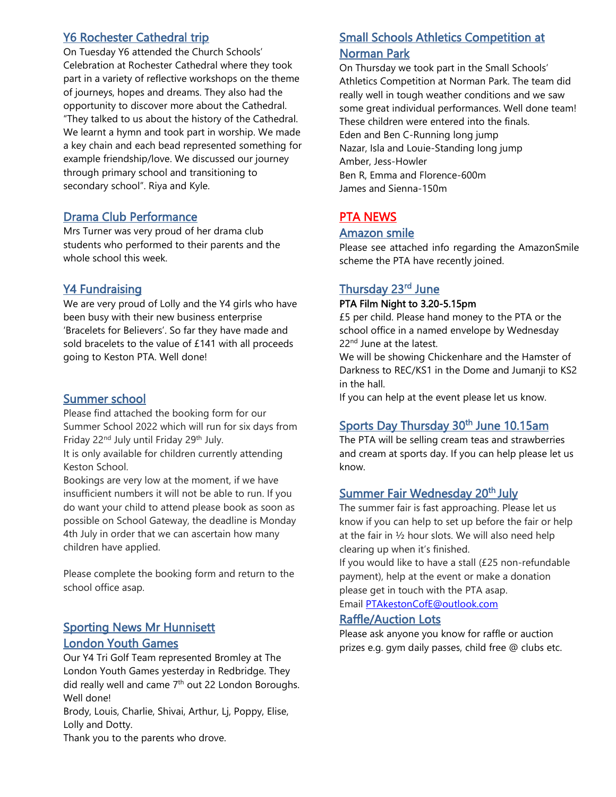### Y6 Rochester Cathedral trip

On Tuesday Y6 attended the Church Schools' Celebration at Rochester Cathedral where they took part in a variety of reflective workshops on the theme of journeys, hopes and dreams. They also had the opportunity to discover more about the Cathedral. "They talked to us about the history of the Cathedral. We learnt a hymn and took part in worship. We made a key chain and each bead represented something for example friendship/love. We discussed our journey through primary school and transitioning to secondary school". Riya and Kyle.

#### Drama Club Performance

Mrs Turner was very proud of her drama club students who performed to their parents and the whole school this week.

### Y4 Fundraising

We are very proud of Lolly and the Y4 girls who have been busy with their new business enterprise 'Bracelets for Believers'. So far they have made and sold bracelets to the value of £141 with all proceeds going to Keston PTA. Well done!

#### Summer school

Please find attached the booking form for our Summer School 2022 which will run for six days from Friday 22<sup>nd</sup> July until Friday 29<sup>th</sup> July.

It is only available for children currently attending Keston School.

Bookings are very low at the moment, if we have insufficient numbers it will not be able to run. If you do want your child to attend please book as soon as possible on School Gateway, the deadline is Monday 4th July in order that we can ascertain how many children have applied.

Please complete the booking form and return to the school office asap.

### **Sporting News Mr Hunnisett** London Youth Games

Our Y4 Tri Golf Team represented Bromley at The London Youth Games yesterday in Redbridge. They did really well and came 7<sup>th</sup> out 22 London Boroughs. Well done!

Brody, Louis, Charlie, Shivai, Arthur, Lj, Poppy, Elise, Lolly and Dotty.

Thank you to the parents who drove.

## Small Schools Athletics Competition at Norman Park

On Thursday we took part in the Small Schools' Athletics Competition at Norman Park. The team did really well in tough weather conditions and we saw some great individual performances. Well done team! These children were entered into the finals. Eden and Ben C-Running long jump Nazar, Isla and Louie-Standing long jump Amber, Jess-Howler Ben R, Emma and Florence-600m James and Sienna-150m

## PTA NEWS

#### Amazon smile

Please see attached info regarding the AmazonSmile scheme the PTA have recently joined.

### Thursday 23<sup>rd</sup> June

#### PTA Film Night to 3.20-5.15pm

£5 per child. Please hand money to the PTA or the school office in a named envelope by Wednesday 22<sup>nd</sup> June at the latest.

We will be showing Chickenhare and the Hamster of Darkness to REC/KS1 in the Dome and Jumanji to KS2 in the hall.

If you can help at the event please let us know.

## Sports Day Thursday 30<sup>th</sup> June 10.15am

The PTA will be selling cream teas and strawberries and cream at sports day. If you can help please let us know.

### Summer Fair Wednesday 20<sup>th</sup> July

The summer fair is fast approaching. Please let us know if you can help to set up before the fair or help at the fair in ½ hour slots. We will also need help clearing up when it's finished.

If you would like to have a stall (£25 non-refundable payment), help at the event or make a donation please get in touch with the PTA asap.

Email [PTAkestonCofE@outlook.com](mailto:PTAkestonCofE@outlook.com)

#### Raffle/Auction Lots

Please ask anyone you know for raffle or auction prizes e.g. gym daily passes, child free @ clubs etc.